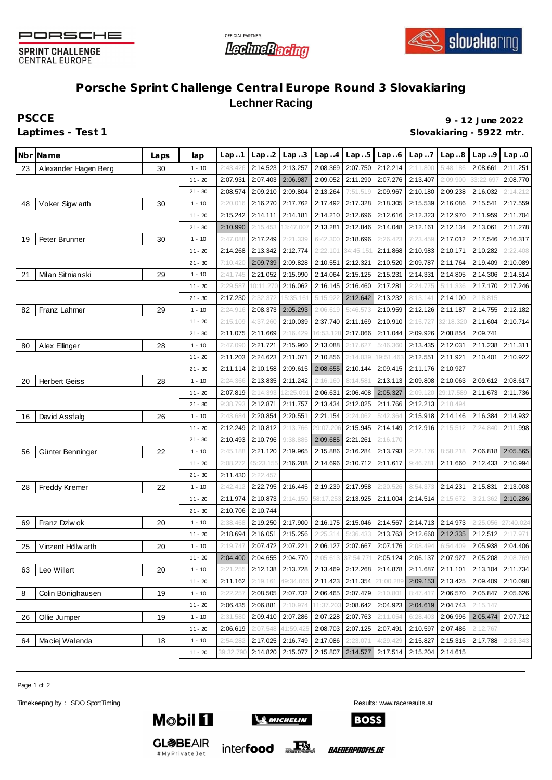

**SPRINT CHALLENGE CENTRAL EUROPE** 





## **Porsche Sprint Challenge Central Europe Round 3 Slovakiaring Lechner Racing**

**PSCCE 9 - 12 June 2022 Laptimes - Test 1 Slovakiaring - 5922 mtr.**

|    | Nbr Name             | Laps | lap       | Lap1      | Lap.2     | Lap.3     | Lap.4              | Lap.5    | Lap.6             | Lap.7    | Lap.8     | Lap.9     | Lap.0     |
|----|----------------------|------|-----------|-----------|-----------|-----------|--------------------|----------|-------------------|----------|-----------|-----------|-----------|
| 23 | Alexander Hagen Berg | 30   | $1 - 10$  | 2:43.426  | 2:14.523  | 2:13.257  | 2:08.369           | 2:07.750 | 2:12.214          | 2:11.800 | 5:48.186  | 2:08.661  | 2:11.251  |
|    |                      |      | $11 - 20$ | 2:07.931  | 2:07.403  | 2:06.987  | 2:09.052           | 2:11.290 | 2:07.276          | 2:13.407 | 2:09.900  | 33:22.697 | 2:08.770  |
|    |                      |      | $21 - 30$ | 2:08.574  | 2:09.210  | 2:09.804  | 2:13.264           | 7:51.519 | 2:09.967          | 2:10.180 | 2:09.238  | 2:16.032  | 2:14.212  |
| 48 | Voker Sigw arth      | 30   | $1 - 10$  | 2:20.016  | 2:16.270  | 2:17.762  | 2:17.492           | 2:17.328 | 2:18.305          | 2:15.539 | 2:16.086  | 2:15.541  | 2:17.559  |
|    |                      |      | $11 - 20$ | 2:15.242  | 2:14.111  | 2:14.181  | 2:14.210           | 2:12.696 | 2:12.616          | 2:12.323 | 2:12.970  | 2:11.959  | 2:11.704  |
|    |                      |      | $21 - 30$ | 2:10.990  | 2:15.453  | 13:47.00  | 2:13.281           | 2:12.846 | 2:14.048          | 2:12.161 | 2:12.134  | 2:13.061  | 2:11.278  |
| 19 | Peter Brunner        | 30   | $1 - 10$  | 2:47.088  | 2:17.249  | 2:21.339  | 6:42.300           | 2:18.696 | 2:26.423          | 7:23.459 | 2:17.012  | 2:17.546  | 2:16.317  |
|    |                      |      | $11 - 20$ | 2:14.268  | 2:13.342  | 2:12.774  | 2:22.101           | 34:45.15 | 2:11.868          | 2:10.983 | 2:10.171  | 2:10.282  | 2:22.408  |
|    |                      |      | $21 - 30$ | 7:10.420  | 2:09.739  | 2:09.828  | 2:10.551           | 2:12.321 | 2:10.520          | 2:09.787 | 2:11.764  | 2:19.409  | 2:10.089  |
| 21 | Milan Sitnianski     | 29   | $1 - 10$  | 2:41.745  | 2:21.052  | 2:15.990  | 2:14.064           | 2:15.125 | 2:15.231          | 2:14.331 | 2:14.805  | 2:14.306  | 2:14.514  |
|    |                      |      | $11 - 20$ | 2:29.587  | 10:11.270 | 2:16.062  | 2:16.145           | 2:16.460 | 2:17.281          | 2:24.775 | 5:11.336  | 2:17.170  | 2:17.246  |
|    |                      |      | $21 - 30$ | 2:17.230  | 2:32.372  | 15:35.16  | 5:15.922           | 2:12.642 | 2:13.232          | 8:13.141 | 2:14.100  | 2:18.815  |           |
| 82 | Franz Lahmer         | 29   | $1 - 10$  | 2:24.916  | 2:08.373  | 2:05.293  | 2:06.619           | 5:46.573 | 2:10.959          | 2:12.126 | 2:11.187  | 2:14.755  | 2:12.182  |
|    |                      |      | $11 - 20$ | 2:15.109  | 4:37.260  | 2:10.039  | 2:37.740           | 2:11.169 | 2:10.910          | 2:15.727 | 32:18.320 | 2:11.604  | 2:10.714  |
|    |                      |      | $21 - 30$ | 2:11.075  | 2:11.669  | 2:16.429  | 16:53.128          | 2:17.066 | 2:11.044          | 2:09.926 | 2:08.854  | 2:09.741  |           |
| 80 | Alex Ellinger        | 28   | $1 - 10$  | 2:47.090  | 2:21.721  | 2:15.960  | 2:13.088           | 2:17.62  | 5:46.360          | 2:13.435 | 2:12.031  | 2:11.238  | 2:11.311  |
|    |                      |      | $11 - 20$ | 2:11.203  | 2:24.623  | 2:11.071  | 2:10.856           | 2:14.039 | 19:51.463         | 2:12.551 | 2:11.921  | 2:10.401  | 2:10.922  |
|    |                      |      | $21 - 30$ | 2:11.114  | 2:10.158  | 2:09.615  | 2:08.655           | 2:10.144 | 2:09.415          | 2:11.176 | 2:10.927  |           |           |
| 20 | <b>Herbert Geiss</b> | 28   | $1 - 10$  | 2:24.366  | 2:13.835  | 2:11.242  | 2:16.160           | 8:14.58  | 2:13.113          | 2:09.808 | 2:10.063  | 2:09.612  | 2:08.617  |
|    |                      |      | $11 - 20$ | 2:07.819  | 2:14.393  | 12:25.09  | 2:06.631           | 2:06.408 | 2:05.327          | 2:09.120 | 29:17.589 | 2:11.673  | 2:11.736  |
|    |                      |      | $21 - 30$ | 9:38.793  | 2:12.871  | 2:11.757  | 2:13.434           | 2:12.025 | 2:11.766          | 2:12.213 | 2:18.494  |           |           |
| 16 | David Assfalg        | 26   | $1 - 10$  | 2:43.684  | 2:20.854  | 2:20.551  | 2:21.154           | 2:24.062 | 5:42.364          | 2:15.918 | 2:14.146  | 2:16.384  | 2:14.932  |
|    |                      |      | $11 - 20$ | 2:12.249  | 2:10.812  | 2:13.766  | 29:07.206          | 2:15.945 | 2:14.149          | 2:12.916 | 2:15.512  | 7:24.840  | 2:11.998  |
|    |                      |      | $21 - 30$ | 2:10.493  | 2:10.796  | 9:38.885  | 2:09.685           | 2:21.261 | 2:16.170          |          |           |           |           |
| 56 | Günter Benninger     | 22   | $1 - 10$  | 2:45.188  | 2:21.120  | 2:19.965  | 2:15.886           | 2:16.284 | 2:13.793          | 2:22.176 | 8:58.218  | 2:06.818  | 2:05.565  |
|    |                      |      | $11 - 20$ | 2:08.272  | 45:23.155 | 2:16.288  | 2:14.696           | 2:10.712 | 2:11.617          | 9:46.78' | 2:11.660  | 2:12.433  | 2:10.994  |
|    |                      |      | $21 - 30$ | 2:11.430  | 2:22.457  |           |                    |          |                   |          |           |           |           |
| 28 | Freddy Kremer        | 22   | $1 - 10$  | 2:42.412  | 2:22.795  | 2:16.445  | 2:19.239           | 2:17.958 | 2:20.526          | 8:54.373 | 2:14.231  | 2:15.831  | 2:13.008  |
|    |                      |      | $11 - 20$ | 2:11.974  | 2:10.873  | 2:14.150  | 58:17.253          | 2:13.925 | 2:11.004          | 2:14.514 | 2:15.672  | 3:21.362  | 2:10.286  |
|    |                      |      | $21 - 30$ | 2:10.706  | 2:10.744  |           |                    |          |                   |          |           |           |           |
| 69 | Franz Dziw ok        | 20   | $1 - 10$  | 2:38.468  | 2:19.250  | 2:17.900  | 2:16.175           | 2:15.046 | 2:14.567          | 2:14.713 | 2:14.973  | 2:25.056  | 27:40.024 |
|    |                      |      | $11 - 20$ | 2:18.694  | 2:16.051  | 2:15.256  | 2:25.314           | 5:36.433 | 2:13.763          | 2:12.660 | 2:12.335  | 2:12.512  | 2:17.971  |
| 25 | Vinzent Höllw arth   | 20   | $1 - 10$  | 2:19.747  | 2:07.472  | 2:07.221  | 2:06.127           | 2:07.667 | 2:07.176          | 2:08.494 | 6:54.409  | 2:05.938  | 2:04.406  |
|    |                      |      | $11 - 20$ | 2:04.400  | 2:04.655  | 2:04.770  | 2:05.613 37:54.771 |          | 2:05.124          | 2:06.137 | 2:07.927  | 2:05.208  | 2:08.769  |
| 63 | Leo Willert          | 20   | $1 - 10$  | 2:21.255  | 2:12.138  | 2:13.728  | 2:13.469           |          | 2:12.268 2:14.878 | 2:11.687 | 2:11.101  | 2:13.104  | 2:11.734  |
|    |                      |      | $11 - 20$ | 2:11.162  | 2:19.161  | 49:34.065 | 2:11.423           | 2:11.354 | 21:00.289         | 2:09.153 | 2:13.425  | 2:09.409  | 2:10.098  |
| 8  | Colin Bönighausen    | 19   | $1 - 10$  | 2:22.257  | 2:08.505  | 2:07.732  | 2:06.465           | 2:07.479 | 2:10.801          | 8:47.417 | 2:06.570  | 2:05.847  | 2:05.626  |
|    |                      |      | $11 - 20$ | 2:06.435  | 2:06.881  | 2:10.974  | 11:37.203          | 2:08.642 | 2:04.923          | 2:04.619 | 2:04.743  | 2:15.147  |           |
| 26 | Ollie Jumper         | 19   | $1 - 10$  | 2:31.580  | 2:09.410  | 2:07.286  | 2:07.228           | 2:07.763 | 2:11.054          | 6:28.403 | 2:06.996  | 2:05.474  | 2:07.712  |
|    |                      |      | $11 - 20$ | 2:06.619  | 2:07.548  | 41:59.425 | 2:08.703           | 2:07.125 | 2:07.491          | 2:10.597 | 2:07.486  | 2:12.767  |           |
| 64 | Maciej Walenda       | 18   | $1 - 10$  | 2:54.282  | 2:17.025  | 2:16.749  | 2:17.086           | 2:23.071 | 4:29.429          | 2:15.827 | 2:15.315  | 2:17.788  | 2:23.343  |
|    |                      |      | $11 - 20$ | 39:32.790 | 2:14.820  | 2:15.077  | 2:15.807           | 2:14.577 | 2:17.514          | 2:15.204 | 2:14.615  |           |           |

Page 1 of 2

Timekeeping by : SDO SportTiming Results: <www.raceresults.at>



**GL参BEAIR** 

#MyPrivateJet



inter**food** 



*BAEDERPROFIS.DE*